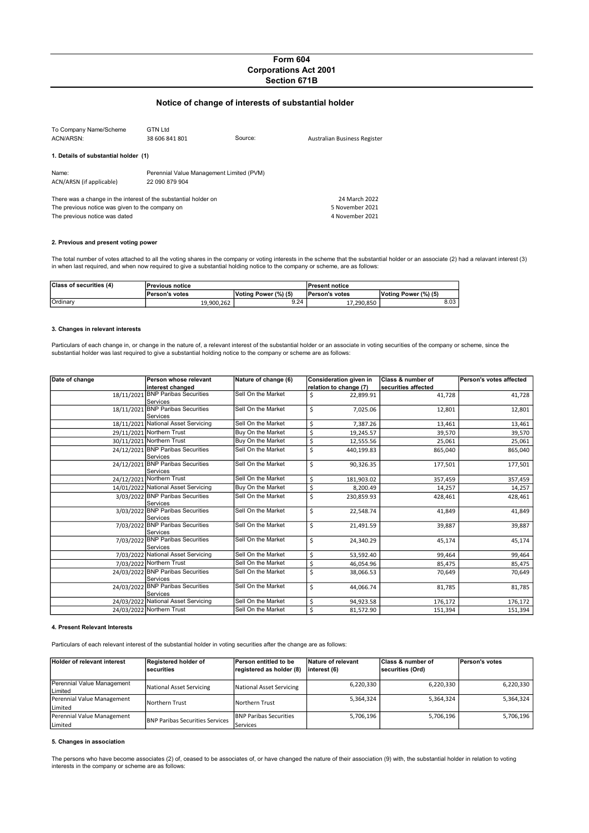# Form 604 Corporations Act 2001 Section 671B

# Notice of change of interests of substantial holder

| To Company Name/Scheme<br>ACN/ARSN:                                                                                                                 | <b>GTN Ltd</b><br>38 606 841 801                           | Source: | Australian Business Register |
|-----------------------------------------------------------------------------------------------------------------------------------------------------|------------------------------------------------------------|---------|------------------------------|
| 1. Details of substantial holder (1)                                                                                                                |                                                            |         |                              |
| Name:<br>ACN/ARSN (if applicable)                                                                                                                   | Perennial Value Management Limited (PVM)<br>22 090 879 904 |         |                              |
| There was a change in the interest of the substantial holder on<br>The previous notice was given to the company on<br>The previous notice was dated | 24 March 2022<br>5 November 2021<br>4 November 2021        |         |                              |

### 2. Previous and present voting power

The total number of votes attached to all the voting shares in the company or voting interests in the scheme that the substantial holder or an associate (2) had a relavant interest (3) in when last required, and when now required to give a substantial holding notice to the company or scheme, are as follows:

| <b>Class of securities (4)</b> | lPrevious notice |                      | <b>IPresent notice</b> |                      |
|--------------------------------|------------------|----------------------|------------------------|----------------------|
|                                | Person's votes   | Voting Power (%) (5) | <b>Person's votes</b>  | Voting Power (%) (5) |
| Ordinary                       | 19.900.262       | 9.24                 | 17.290.850             | 8.03                 |

### 3. Changes in relevant interests

Particulars of each change in, or change in the nature of, a relevant interest of the substantial holder or an associate in voting securities of the company or scheme, since the<br>substantial holder was last required to give

| Date of change | Person whose relevant               | Nature of change (6) | Consideration given in | <b>Class &amp; number of</b> | Person's votes affected |
|----------------|-------------------------------------|----------------------|------------------------|------------------------------|-------------------------|
|                | interest changed                    |                      | relation to change (7) | securities affected          |                         |
|                | 18/11/2021 BNP Paribas Securities   | Sell On the Market   | \$<br>22,899.91        | 41,728                       | 41,728                  |
|                | Services                            |                      |                        |                              |                         |
| 18/11/2021     | <b>BNP Paribas Securities</b>       | Sell On the Market   | \$<br>7,025.06         | 12,801                       | 12,801                  |
|                | Services                            |                      |                        |                              |                         |
|                | 18/11/2021 National Asset Servicing | Sell On the Market   | \$<br>7,387.26         | 13,461                       | 13,461                  |
|                | 29/11/2021 Northern Trust           | Buy On the Market    | \$<br>19,245.57        | 39,570                       | 39,570                  |
|                | 30/11/2021 Northern Trust           | Buy On the Market    | \$<br>12,555.56        | 25,061                       | 25,061                  |
|                | 24/12/2021 BNP Paribas Securities   | Sell On the Market   | \$<br>440,199.83       | 865,040                      | 865,040                 |
|                | Services                            |                      |                        |                              |                         |
|                | 24/12/2021 BNP Paribas Securities   | Sell On the Market   | \$<br>90,326.35        | 177,501                      | 177,501                 |
|                | Services                            |                      |                        |                              |                         |
|                | 24/12/2021 Northern Trust           | Sell On the Market   | \$<br>181,903.02       | 357,459                      | 357,459                 |
|                | 14/01/2022 National Asset Servicing | Buy On the Market    | \$<br>8,200.49         | 14,257                       | 14,257                  |
|                | 3/03/2022 BNP Paribas Securities    | Sell On the Market   | \$<br>230,859.93       | 428,461                      | 428,461                 |
|                | Services                            |                      |                        |                              |                         |
|                | 3/03/2022 BNP Paribas Securities    | Sell On the Market   | \$<br>22,548.74        | 41,849                       | 41,849                  |
|                | Services                            |                      |                        |                              |                         |
|                | 7/03/2022 BNP Paribas Securities    | Sell On the Market   | \$<br>21,491.59        | 39,887                       | 39,887                  |
|                | Services                            |                      |                        |                              |                         |
| 7/03/2022      | <b>BNP Paribas Securities</b>       | Sell On the Market   | \$<br>24,340.29        | 45,174                       | 45,174                  |
|                | Services                            |                      |                        |                              |                         |
|                | 7/03/2022 National Asset Servicing  | Sell On the Market   | \$<br>53,592.40        | 99,464                       | 99,464                  |
|                | 7/03/2022 Northern Trust            | Sell On the Market   | \$<br>46,054.96        | 85,475                       | 85,475                  |
|                | 24/03/2022 BNP Paribas Securities   | Sell On the Market   | \$<br>38,066.53        | 70,649                       | 70,649                  |
|                | Services                            |                      |                        |                              |                         |
|                | 24/03/2022 BNP Paribas Securities   | Sell On the Market   | \$<br>44,066.74        | 81,785                       | 81,785                  |
|                | Services                            |                      |                        |                              |                         |
|                | 24/03/2022 National Asset Servicing | Sell On the Market   | \$<br>94,923.58        | 176,172                      | 176,172                 |
|                | 24/03/2022 Northern Trust           | Sell On the Market   | \$<br>81,572.90        | 151,394                      | 151,394                 |

### 4. Present Relevant Interests

Particulars of each relevant interest of the substantial holder in voting securities after the change are as follows:

| Holder of relevant interest           | Registered holder of<br>lsecurities    | <b>Person entitled to be</b><br>registered as holder (8) | Nature of relevant<br>linterest (6) | <b>Class &amp; number of</b><br>securities (Ord) | Person's votes |
|---------------------------------------|----------------------------------------|----------------------------------------------------------|-------------------------------------|--------------------------------------------------|----------------|
| Perennial Value Management<br>Limited | National Asset Servicing               | National Asset Servicing                                 | 6,220,330                           | 6,220,330                                        | 6,220,330      |
| Perennial Value Management            | lNorthern Trust                        | Northern Trust                                           | 5,364,324                           | 5,364,324                                        | 5,364,324      |
| Limited                               |                                        |                                                          |                                     |                                                  |                |
| Perennial Value Management            | <b>BNP Paribas Securities Services</b> | <b>IBNP Paribas Securities</b>                           | 5,706,196                           | 5,706,196                                        | 5,706,196      |
| Limited                               |                                        | Services                                                 |                                     |                                                  |                |

### 5. Changes in association

The persons who have become associates (2) of, ceased to be associates of, or have changed the nature of their association (9) with, the substantial holder in relation to voting interests in the company or scheme are as follows: